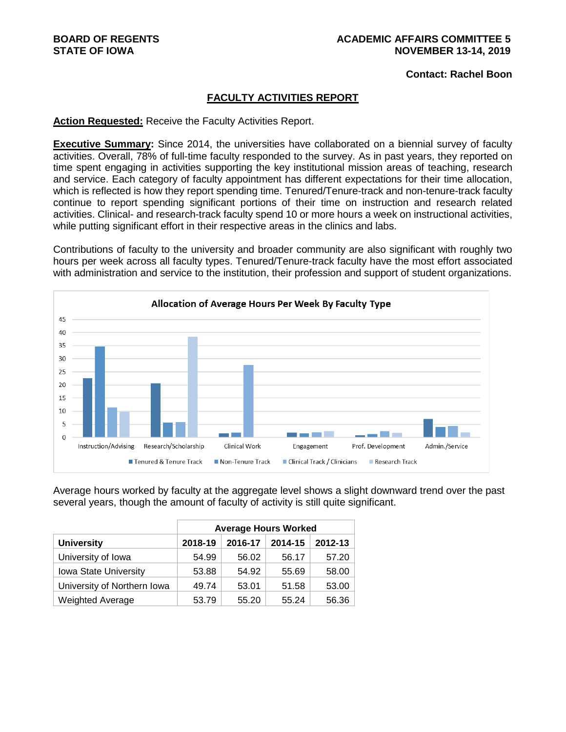**Contact: Rachel Boon**

#### **FACULTY ACTIVITIES REPORT**

#### **Action Requested:** Receive the Faculty Activities Report.

**Executive Summary:** Since 2014, the universities have collaborated on a biennial survey of faculty activities. Overall, 78% of full-time faculty responded to the survey. As in past years, they reported on time spent engaging in activities supporting the key institutional mission areas of teaching, research and service. Each category of faculty appointment has different expectations for their time allocation, which is reflected is how they report spending time. Tenured/Tenure-track and non-tenure-track faculty continue to report spending significant portions of their time on instruction and research related activities. Clinical- and research-track faculty spend 10 or more hours a week on instructional activities, while putting significant effort in their respective areas in the clinics and labs.

Contributions of faculty to the university and broader community are also significant with roughly two hours per week across all faculty types. Tenured/Tenure-track faculty have the most effort associated with administration and service to the institution, their profession and support of student organizations.



Average hours worked by faculty at the aggregate level shows a slight downward trend over the past several years, though the amount of faculty of activity is still quite significant.

|                              | <b>Average Hours Worked</b> |         |         |         |  |  |  |  |  |  |
|------------------------------|-----------------------------|---------|---------|---------|--|--|--|--|--|--|
| <b>University</b>            | 2018-19                     | 2016-17 | 2014-15 | 2012-13 |  |  |  |  |  |  |
| University of Iowa           | 54.99                       | 56.02   | 56.17   | 57.20   |  |  |  |  |  |  |
| <b>Iowa State University</b> | 53.88                       | 54.92   | 55.69   | 58.00   |  |  |  |  |  |  |
| University of Northern Iowa  | 49.74                       | 53.01   | 51.58   | 53.00   |  |  |  |  |  |  |
| <b>Weighted Average</b>      | 53.79                       | 55.20   | 55.24   | 56.36   |  |  |  |  |  |  |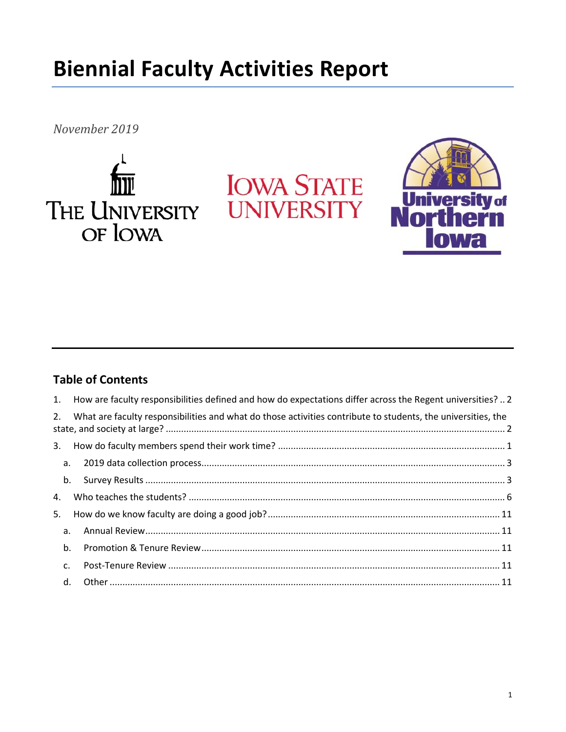# **Biennial Faculty Activities Report**

November 2019







# **Table of Contents**

|    |    | 1. How are faculty responsibilities defined and how do expectations differ across the Regent universities?  2   |  |
|----|----|-----------------------------------------------------------------------------------------------------------------|--|
|    |    | 2. What are faculty responsibilities and what do those activities contribute to students, the universities, the |  |
|    |    |                                                                                                                 |  |
|    |    |                                                                                                                 |  |
|    |    |                                                                                                                 |  |
| 4. |    |                                                                                                                 |  |
| 5. |    |                                                                                                                 |  |
|    | a. |                                                                                                                 |  |
|    | b. |                                                                                                                 |  |
|    | c. |                                                                                                                 |  |
|    |    |                                                                                                                 |  |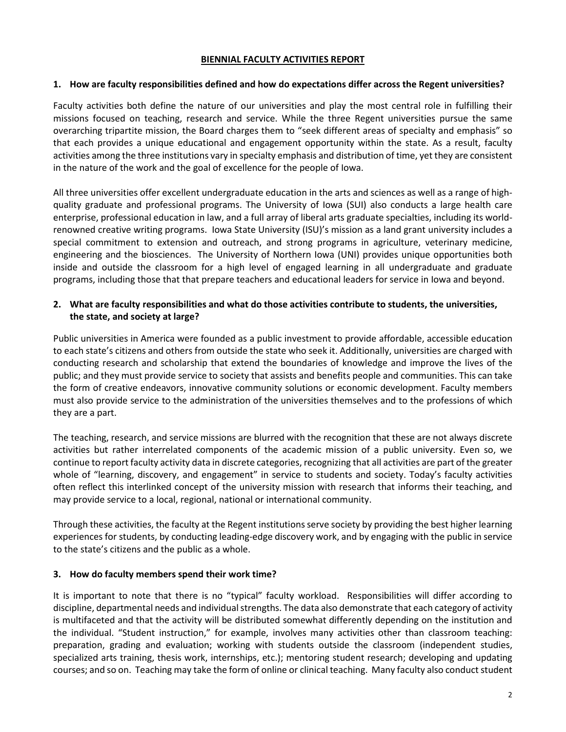#### **BIENNIAL FACULTY ACTIVITIES REPORT**

#### <span id="page-2-0"></span>**1. How are faculty responsibilities defined and how do expectations differ across the Regent universities?**

Faculty activities both define the nature of our universities and play the most central role in fulfilling their missions focused on teaching, research and service. While the three Regent universities pursue the same overarching tripartite mission, the Board charges them to "seek different areas of specialty and emphasis" so that each provides a unique educational and engagement opportunity within the state. As a result, faculty activities among the three institutions vary in specialty emphasis and distribution of time, yet they are consistent in the nature of the work and the goal of excellence for the people of Iowa.

All three universities offer excellent undergraduate education in the arts and sciences as well as a range of highquality graduate and professional programs. The University of Iowa (SUI) also conducts a large health care enterprise, professional education in law, and a full array of liberal arts graduate specialties, including its worldrenowned creative writing programs. Iowa State University (ISU)'s mission as a land grant university includes a special commitment to extension and outreach, and strong programs in agriculture, veterinary medicine, engineering and the biosciences. The University of Northern Iowa (UNI) provides unique opportunities both inside and outside the classroom for a high level of engaged learning in all undergraduate and graduate programs, including those that that prepare teachers and educational leaders for service in Iowa and beyond.

#### <span id="page-2-1"></span>**2. What are faculty responsibilities and what do those activities contribute to students, the universities, the state, and society at large?**

Public universities in America were founded as a public investment to provide affordable, accessible education to each state's citizens and others from outside the state who seek it. Additionally, universities are charged with conducting research and scholarship that extend the boundaries of knowledge and improve the lives of the public; and they must provide service to society that assists and benefits people and communities. This can take the form of creative endeavors, innovative community solutions or economic development. Faculty members must also provide service to the administration of the universities themselves and to the professions of which they are a part.

The teaching, research, and service missions are blurred with the recognition that these are not always discrete activities but rather interrelated components of the academic mission of a public university. Even so, we continue to report faculty activity data in discrete categories, recognizing that all activities are part of the greater whole of "learning, discovery, and engagement" in service to students and society. Today's faculty activities often reflect this interlinked concept of the university mission with research that informs their teaching, and may provide service to a local, regional, national or international community.

Through these activities, the faculty at the Regent institutions serve society by providing the best higher learning experiences for students, by conducting leading-edge discovery work, and by engaging with the public in service to the state's citizens and the public as a whole.

#### <span id="page-2-2"></span>**3. How do faculty members spend their work time?**

It is important to note that there is no "typical" faculty workload. Responsibilities will differ according to discipline, departmental needs and individual strengths. The data also demonstrate that each category of activity is multifaceted and that the activity will be distributed somewhat differently depending on the institution and the individual. "Student instruction," for example, involves many activities other than classroom teaching: preparation, grading and evaluation; working with students outside the classroom (independent studies, specialized arts training, thesis work, internships, etc.); mentoring student research; developing and updating courses; and so on. Teaching may take the form of online or clinical teaching. Many faculty also conduct student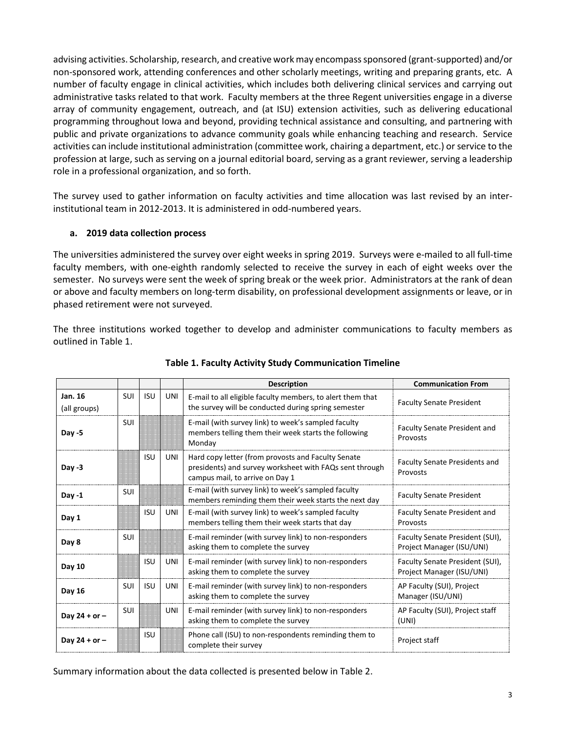advising activities. Scholarship, research, and creative work may encompass sponsored (grant-supported) and/or non-sponsored work, attending conferences and other scholarly meetings, writing and preparing grants, etc. A number of faculty engage in clinical activities, which includes both delivering clinical services and carrying out administrative tasks related to that work. Faculty members at the three Regent universities engage in a diverse array of community engagement, outreach, and (at ISU) extension activities, such as delivering educational programming throughout Iowa and beyond, providing technical assistance and consulting, and partnering with public and private organizations to advance community goals while enhancing teaching and research. Service activities can include institutional administration (committee work, chairing a department, etc.) or service to the profession at large, such as serving on a journal editorial board, serving as a grant reviewer, serving a leadership role in a professional organization, and so forth.

The survey used to gather information on faculty activities and time allocation was last revised by an interinstitutional team in 2012-2013. It is administered in odd-numbered years.

#### <span id="page-3-0"></span>**a. 2019 data collection process**

The universities administered the survey over eight weeks in spring 2019. Surveys were e-mailed to all full-time faculty members, with one-eighth randomly selected to receive the survey in each of eight weeks over the semester. No surveys were sent the week of spring break or the week prior. Administrators at the rank of dean or above and faculty members on long-term disability, on professional development assignments or leave, or in phased retirement were not surveyed.

The three institutions worked together to develop and administer communications to faculty members as outlined in Table 1.

|                         |            |            |            | <b>Description</b>                                                                                                                               | <b>Communication From</b>                                    |
|-------------------------|------------|------------|------------|--------------------------------------------------------------------------------------------------------------------------------------------------|--------------------------------------------------------------|
| Jan. 16<br>(all groups) | <b>SUI</b> | <b>ISU</b> | UNI        | E-mail to all eligible faculty members, to alert them that<br>the survey will be conducted during spring semester                                | <b>Faculty Senate President</b>                              |
| $Day -5$                | <b>SUI</b> |            |            | E-mail (with survey link) to week's sampled faculty<br>members telling them their week starts the following<br>Monday                            | <b>Faculty Senate President and</b><br>Provosts              |
| Day $-3$                |            | <b>ISU</b> | UNI        | Hard copy letter (from provosts and Faculty Senate<br>presidents) and survey worksheet with FAQs sent through<br>campus mail, to arrive on Day 1 | <b>Faculty Senate Presidents and</b><br>Provosts             |
| Day $-1$                | <b>SUI</b> |            |            | E-mail (with survey link) to week's sampled faculty<br>members reminding them their week starts the next day                                     | <b>Faculty Senate President</b>                              |
| Day 1                   |            | <b>ISU</b> | UNI        | E-mail (with survey link) to week's sampled faculty<br>members telling them their week starts that day                                           | <b>Faculty Senate President and</b><br>Provosts              |
| Day 8                   | <b>SUI</b> |            |            | E-mail reminder (with survey link) to non-responders<br>asking them to complete the survey                                                       | Faculty Senate President (SUI),<br>Project Manager (ISU/UNI) |
| Day 10                  |            | <b>ISU</b> | UNI        | E-mail reminder (with survey link) to non-responders<br>asking them to complete the survey                                                       | Faculty Senate President (SUI),<br>Project Manager (ISU/UNI) |
| Day 16                  | SUI        | <b>ISU</b> | <b>UNI</b> | E-mail reminder (with survey link) to non-responders<br>asking them to complete the survey                                                       | AP Faculty (SUI), Project<br>Manager (ISU/UNI)               |
| Day $24 + or -$         | <b>SUI</b> |            | <b>UNI</b> | E-mail reminder (with survey link) to non-responders<br>asking them to complete the survey                                                       | AP Faculty (SUI), Project staff<br>(UNI)                     |
| Day $24 + or -$         |            | <b>ISU</b> |            | Phone call (ISU) to non-respondents reminding them to<br>complete their survey                                                                   | Project staff                                                |

#### **Table 1. Faculty Activity Study Communication Timeline**

Summary information about the data collected is presented below in Table 2.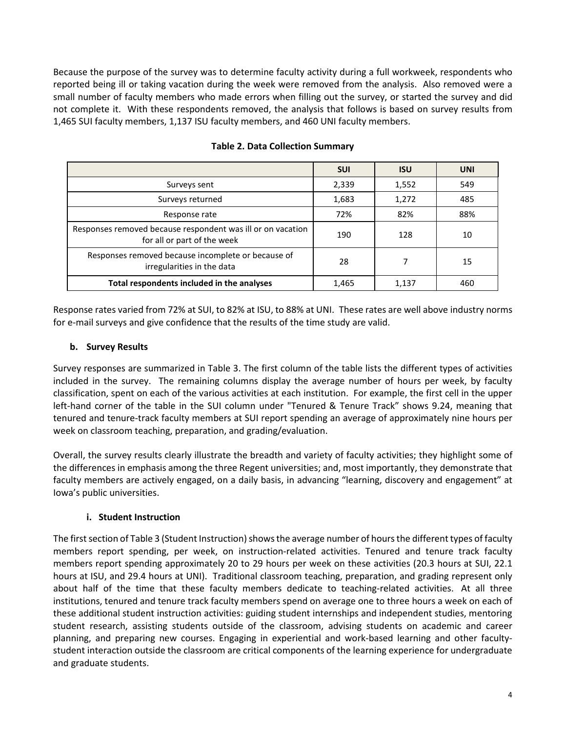Because the purpose of the survey was to determine faculty activity during a full workweek, respondents who reported being ill or taking vacation during the week were removed from the analysis. Also removed were a small number of faculty members who made errors when filling out the survey, or started the survey and did not complete it. With these respondents removed, the analysis that follows is based on survey results from 1,465 SUI faculty members, 1,137 ISU faculty members, and 460 UNI faculty members.

|                                                                                            | <b>SUI</b> | <b>ISU</b> | <b>UNI</b> |
|--------------------------------------------------------------------------------------------|------------|------------|------------|
| Surveys sent                                                                               | 2,339      | 1,552      | 549        |
| Surveys returned                                                                           | 1,683      | 1,272      | 485        |
| Response rate                                                                              | 72%        | 82%        | 88%        |
| Responses removed because respondent was ill or on vacation<br>for all or part of the week | 190        | 128        | 10         |
| Responses removed because incomplete or because of<br>irregularities in the data           | 28         |            | 15         |
| Total respondents included in the analyses                                                 | 1,465      | 1,137      | 460        |

#### **Table 2. Data Collection Summary**

Response rates varied from 72% at SUI, to 82% at ISU, to 88% at UNI. These rates are well above industry norms for e-mail surveys and give confidence that the results of the time study are valid.

# <span id="page-4-0"></span>**b. Survey Results**

Survey responses are summarized in Table 3. The first column of the table lists the different types of activities included in the survey. The remaining columns display the average number of hours per week, by faculty classification, spent on each of the various activities at each institution. For example, the first cell in the upper left-hand corner of the table in the SUI column under "Tenured & Tenure Track" shows 9.24, meaning that tenured and tenure-track faculty members at SUI report spending an average of approximately nine hours per week on classroom teaching, preparation, and grading/evaluation.

Overall, the survey results clearly illustrate the breadth and variety of faculty activities; they highlight some of the differences in emphasis among the three Regent universities; and, most importantly, they demonstrate that faculty members are actively engaged, on a daily basis, in advancing "learning, discovery and engagement" at Iowa's public universities.

# **i. Student Instruction**

The first section of Table 3 (Student Instruction) shows the average number of hours the different types of faculty members report spending, per week, on instruction-related activities. Tenured and tenure track faculty members report spending approximately 20 to 29 hours per week on these activities (20.3 hours at SUI, 22.1 hours at ISU, and 29.4 hours at UNI). Traditional classroom teaching, preparation, and grading represent only about half of the time that these faculty members dedicate to teaching-related activities. At all three institutions, tenured and tenure track faculty members spend on average one to three hours a week on each of these additional student instruction activities: guiding student internships and independent studies, mentoring student research, assisting students outside of the classroom, advising students on academic and career planning, and preparing new courses. Engaging in experiential and work-based learning and other facultystudent interaction outside the classroom are critical components of the learning experience for undergraduate and graduate students.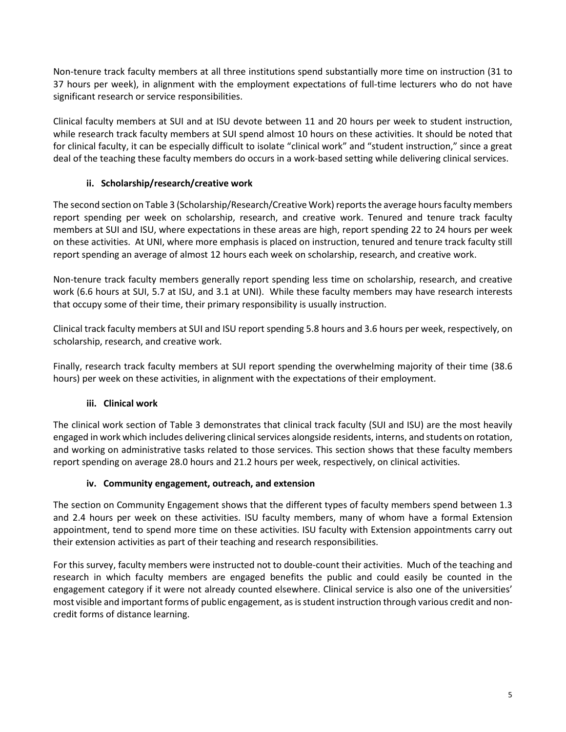Non-tenure track faculty members at all three institutions spend substantially more time on instruction (31 to 37 hours per week), in alignment with the employment expectations of full-time lecturers who do not have significant research or service responsibilities.

Clinical faculty members at SUI and at ISU devote between 11 and 20 hours per week to student instruction, while research track faculty members at SUI spend almost 10 hours on these activities. It should be noted that for clinical faculty, it can be especially difficult to isolate "clinical work" and "student instruction," since a great deal of the teaching these faculty members do occurs in a work-based setting while delivering clinical services.

# **ii. Scholarship/research/creative work**

The second section on Table 3 (Scholarship/Research/Creative Work) reports the average hours faculty members report spending per week on scholarship, research, and creative work. Tenured and tenure track faculty members at SUI and ISU, where expectations in these areas are high, report spending 22 to 24 hours per week on these activities. At UNI, where more emphasis is placed on instruction, tenured and tenure track faculty still report spending an average of almost 12 hours each week on scholarship, research, and creative work.

Non-tenure track faculty members generally report spending less time on scholarship, research, and creative work (6.6 hours at SUI, 5.7 at ISU, and 3.1 at UNI). While these faculty members may have research interests that occupy some of their time, their primary responsibility is usually instruction.

Clinical track faculty members at SUI and ISU report spending 5.8 hours and 3.6 hours per week, respectively, on scholarship, research, and creative work.

Finally, research track faculty members at SUI report spending the overwhelming majority of their time (38.6 hours) per week on these activities, in alignment with the expectations of their employment.

# **iii. Clinical work**

The clinical work section of Table 3 demonstrates that clinical track faculty (SUI and ISU) are the most heavily engaged in work which includes delivering clinical services alongside residents, interns, and students on rotation, and working on administrative tasks related to those services. This section shows that these faculty members report spending on average 28.0 hours and 21.2 hours per week, respectively, on clinical activities.

# **iv. Community engagement, outreach, and extension**

The section on Community Engagement shows that the different types of faculty members spend between 1.3 and 2.4 hours per week on these activities. ISU faculty members, many of whom have a formal Extension appointment, tend to spend more time on these activities. ISU faculty with Extension appointments carry out their extension activities as part of their teaching and research responsibilities.

For this survey, faculty members were instructed not to double-count their activities. Much of the teaching and research in which faculty members are engaged benefits the public and could easily be counted in the engagement category if it were not already counted elsewhere. Clinical service is also one of the universities' most visible and important forms of public engagement, as is student instruction through various credit and noncredit forms of distance learning.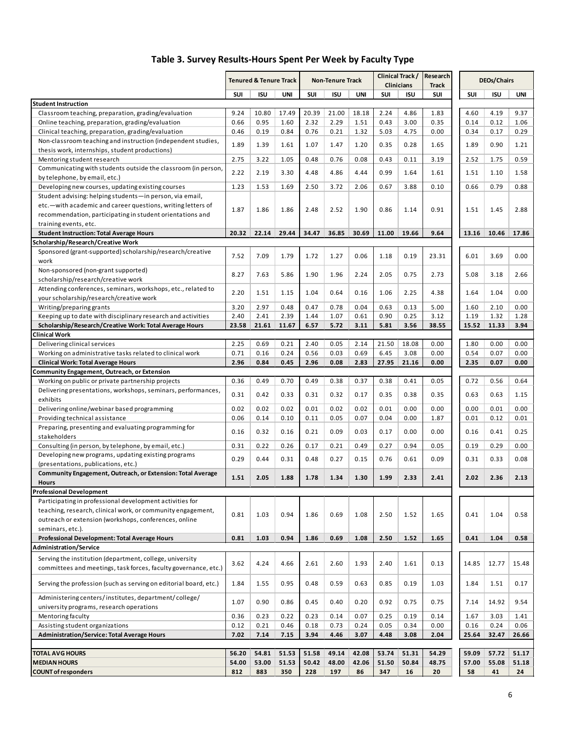|                                                                                                                      | Clinical Track/<br>Research<br><b>Tenured &amp; Tenure Track</b><br><b>Non-Tenure Track</b><br><b>Clinicians</b><br><b>Track</b> |       | <b>DEOs/Chairs</b> |       |                |       |       |            |       |       |            |       |
|----------------------------------------------------------------------------------------------------------------------|----------------------------------------------------------------------------------------------------------------------------------|-------|--------------------|-------|----------------|-------|-------|------------|-------|-------|------------|-------|
|                                                                                                                      | SUI                                                                                                                              | ISU   | UNI                | SUI   | <b>ISU</b>     | UNI   | SUI   | <b>ISU</b> | SUI   | SUI   | <b>ISU</b> | UNI   |
| <b>Student Instruction</b>                                                                                           |                                                                                                                                  |       |                    |       |                |       |       |            |       |       |            |       |
| Classroom teaching, preparation, grading/evaluation                                                                  | 9.24                                                                                                                             | 10.80 | 17.49              | 20.39 | 21.00          | 18.18 | 2.24  | 4.86       | 1.83  | 4.60  | 4.19       | 9.37  |
| Online teaching, preparation, grading/evaluation                                                                     | 0.66                                                                                                                             | 0.95  | 1.60               | 2.32  | 2.29           | 1.51  | 0.43  | 3.00       | 0.35  | 0.14  | 0.12       | 1.06  |
| Clinical teaching, preparation, grading/evaluation                                                                   | 0.46                                                                                                                             | 0.19  | 0.84               | 0.76  | 0.21           | 1.32  | 5.03  | 4.75       | 0.00  | 0.34  | 0.17       | 0.29  |
| Non-classroom teaching and instruction (independent studies,                                                         | 1.89                                                                                                                             | 1.39  | 1.61               | 1.07  | 1.47           | 1.20  | 0.35  | 0.28       | 1.65  | 1.89  | 0.90       | 1.21  |
| thesis work, internships, student productions)                                                                       |                                                                                                                                  |       |                    |       |                |       |       |            |       |       |            |       |
| Mentoring student research                                                                                           | 2.75                                                                                                                             | 3.22  | 1.05               | 0.48  | 0.76           | 0.08  | 0.43  | 0.11       | 3.19  | 2.52  | 1.75       | 0.59  |
| Communicating with students outside the classroom (in person,                                                        | 2.22                                                                                                                             | 2.19  | 3.30               | 4.48  | 4.86           | 4.44  | 0.99  | 1.64       | 1.61  | 1.51  | 1.10       | 1.58  |
| by telephone, by email, etc.)                                                                                        |                                                                                                                                  |       |                    |       |                |       |       |            |       |       |            |       |
| Developing new courses, updating existing courses                                                                    | 1.23                                                                                                                             | 1.53  | 1.69               | 2.50  | 3.72           | 2.06  | 0.67  | 3.88       | 0.10  | 0.66  | 0.79       | 0.88  |
| Student advising: helping students-in person, via email,                                                             |                                                                                                                                  |       |                    |       |                |       |       |            |       |       |            |       |
| etc.-with academic and career questions, writing letters of                                                          | 1.87                                                                                                                             | 1.86  | 1.86               | 2.48  | 2.52           | 1.90  | 0.86  | 1.14       | 0.91  | 1.51  | 1.45       | 2.88  |
| recommendation, participating in student orientations and                                                            |                                                                                                                                  |       |                    |       |                |       |       |            |       |       |            |       |
| training events, etc.                                                                                                | 20.32                                                                                                                            | 22.14 | 29.44              | 34.47 | 36.85          | 30.69 | 11.00 | 19.66      | 9.64  |       | 10.46      | 17.86 |
| <b>Student Instruction: Total Average Hours</b><br>Scholarship/Research/Creative Work                                |                                                                                                                                  |       |                    |       |                |       |       |            |       | 13.16 |            |       |
| Sponsored (grant-supported) scholarship/research/creative                                                            |                                                                                                                                  |       |                    |       |                |       |       |            |       |       |            |       |
| work                                                                                                                 | 7.52                                                                                                                             | 7.09  | 1.79               | 1.72  | 1.27           | 0.06  | 1.18  | 0.19       | 23.31 | 6.01  | 3.69       | 0.00  |
| Non-sponsored (non-grant supported)                                                                                  |                                                                                                                                  |       |                    |       |                |       |       |            |       |       |            |       |
| scholarship/research/creative work                                                                                   | 8.27                                                                                                                             | 7.63  | 5.86               | 1.90  | 1.96           | 2.24  | 2.05  | 0.75       | 2.73  | 5.08  | 3.18       | 2.66  |
| Attending conferences, seminars, workshops, etc., related to                                                         |                                                                                                                                  |       |                    |       |                |       |       |            |       |       |            |       |
| your scholarship/research/creative work                                                                              | 2.20                                                                                                                             | 1.51  | 1.15               | 1.04  | 0.64           | 0.16  | 1.06  | 2.25       | 4.38  | 1.64  | 1.04       | 0.00  |
| Writing/preparing grants                                                                                             | 3.20                                                                                                                             | 2.97  | 0.48               | 0.47  | 0.78           | 0.04  | 0.63  | 0.13       | 5.00  | 1.60  | 2.10       | 0.00  |
| Keeping up to date with disciplinary research and activities                                                         | 2.40                                                                                                                             | 2.41  | 2.39               | 1.44  | 1.07           | 0.61  | 0.90  | 0.25       | 3.12  | 1.19  | 1.32       | 1.28  |
| Scholarship/Research/Creative Work: Total Average Hours                                                              | 23.58                                                                                                                            | 21.61 | 11.67              | 6.57  | 5.72           | 3.11  | 5.81  | 3.56       | 38.55 | 15.52 | 11.33      | 3.94  |
| Clinical Work                                                                                                        |                                                                                                                                  |       |                    |       |                |       |       |            |       |       |            |       |
| Delivering clinical services                                                                                         | 2.25                                                                                                                             | 0.69  | 0.21               | 2.40  | 0.05           | 2.14  | 21.50 | 18.08      | 0.00  | 1.80  | 0.00       | 0.00  |
| Working on administrative tasks related to clinical work                                                             | 0.71                                                                                                                             | 0.16  | 0.24               | 0.56  | 0.03           | 0.69  | 6.45  | 3.08       | 0.00  | 0.54  | 0.07       | 0.00  |
| <b>Clinical Work: Total Average Hours</b>                                                                            | 2.96                                                                                                                             | 0.84  | 0.45               | 2.96  | 0.08           | 2.83  | 27.95 | 21.16      | 0.00  | 2.35  | 0.07       | 0.00  |
| Community Engagement, Outreach, or Extension                                                                         |                                                                                                                                  |       |                    |       |                |       |       |            |       |       |            |       |
| Working on public or private partnership projects                                                                    | 0.36                                                                                                                             | 0.49  | 0.70               | 0.49  | 0.38           | 0.37  | 0.38  | 0.41       | 0.05  | 0.72  | 0.56       | 0.64  |
| Delivering presentations, workshops, seminars, performances,                                                         | 0.31                                                                                                                             | 0.42  | 0.33               | 0.31  | 0.32           | 0.17  | 0.35  | 0.38       | 0.35  | 0.63  | 0.63       | 1.15  |
| exhibits                                                                                                             |                                                                                                                                  |       |                    |       |                |       |       |            |       |       |            |       |
| Delivering online/webinar based programming                                                                          | 0.02                                                                                                                             | 0.02  | 0.02               | 0.01  | 0.02           | 0.02  | 0.01  | 0.00       | 0.00  | 0.00  | 0.01       | 0.00  |
| Providing technical assistance                                                                                       | 0.06                                                                                                                             | 0.14  | 0.10               | 0.11  | 0.05           | 0.07  | 0.04  | 0.00       | 1.87  | 0.01  | 0.12       | 0.01  |
| Preparing, presenting and evaluating programming for                                                                 | 0.16                                                                                                                             | 0.32  | 0.16               | 0.21  | 0.09           | 0.03  | 0.17  | 0.00       | 0.00  | 0.16  | 0.41       | 0.25  |
| stakeholders                                                                                                         |                                                                                                                                  |       |                    |       |                |       |       |            |       |       |            |       |
| Consulting (in person, by telephone, by email, etc.)                                                                 | 0.31                                                                                                                             | 0.22  | 0.26               | 0.17  | 0.21           | 0.49  | 0.27  | 0.94       | 0.05  | 0.19  | 0.29       | 0.00  |
| Developing new programs, updating existing programs                                                                  | 0.29                                                                                                                             | 0.44  | 0.31               | 0.48  | 0.27           | 0.15  | 0.76  | 0.61       | 0.09  | 0.31  | 0.33       | 0.08  |
| (presentations, publications, etc.)                                                                                  |                                                                                                                                  |       |                    |       |                |       |       |            |       |       |            |       |
| Community Engagement, Outreach, or Extension: Total Average                                                          | 1.51                                                                                                                             | 2.05  | 1.88               | 1.78  | 1.34           | 1.30  | 1.99  | 2.33       | 2.41  | 2.02  | 2.36       | 2.13  |
| <b>Hours</b><br><b>Professional Development</b>                                                                      |                                                                                                                                  |       |                    |       |                |       |       |            |       |       |            |       |
| Participating in professional development activities for                                                             |                                                                                                                                  |       |                    |       |                |       |       |            |       |       |            |       |
|                                                                                                                      |                                                                                                                                  |       |                    |       |                |       |       |            |       |       |            |       |
| teaching, research, clinical work, or community engagement,<br>outreach or extension (workshops, conferences, online | 0.81                                                                                                                             | 1.03  | 0.94               | 1.86  | 0.69           | 1.08  | 2.50  | 1.52       | 1.65  | 0.41  | 1.04       | 0.58  |
| seminars, etc.).                                                                                                     |                                                                                                                                  |       |                    |       |                |       |       |            |       |       |            |       |
| Professional Development: Total Average Hours                                                                        | 0.81                                                                                                                             | 1.03  | 0.94               | 1.86  | 0.69           | 1.08  | 2.50  | 1.52       | 1.65  | 0.41  | 1.04       | 0.58  |
| <b>Administration/Service</b>                                                                                        |                                                                                                                                  |       |                    |       |                |       |       |            |       |       |            |       |
| Serving the institution (department, college, university                                                             |                                                                                                                                  |       |                    |       |                |       |       |            |       |       |            |       |
| committees and meetings, task forces, faculty governance, etc.)                                                      | 3.62                                                                                                                             | 4.24  | 4.66               | 2.61  | 2.60           | 1.93  | 2.40  | 1.61       | 0.13  | 14.85 | 12.77      | 15.48 |
|                                                                                                                      |                                                                                                                                  |       |                    |       |                |       |       |            |       |       |            |       |
| Serving the profession (such as serving on editorial board, etc.)                                                    | 1.84                                                                                                                             | 1.55  | 0.95               | 0.48  | 0.59           | 0.63  | 0.85  | 0.19       | 1.03  | 1.84  | 1.51       | 0.17  |
|                                                                                                                      |                                                                                                                                  |       |                    |       |                |       |       |            |       |       |            |       |
| Administering centers/institutes, department/college/                                                                | 1.07                                                                                                                             | 0.90  | 0.86               | 0.45  | 0.40           | 0.20  | 0.92  | 0.75       | 0.75  | 7.14  | 14.92      | 9.54  |
| university programs, research operations                                                                             |                                                                                                                                  |       |                    |       |                |       |       |            |       |       |            |       |
| Mentoring faculty                                                                                                    |                                                                                                                                  | 0.23  | 0.22               | 0.23  | 0.14           | 0.07  | 0.25  | 0.19       | 0.14  | 1.67  | 3.03       | 1.41  |
| Assisting student organizations                                                                                      | 0.12                                                                                                                             | 0.21  | 0.46               | 0.18  | 0.73           | 0.24  | 0.05  | 0.34       | 0.00  | 0.16  | 0.24       | 0.06  |
| <b>Administration/Service: Total Average Hours</b>                                                                   | 7.02                                                                                                                             | 7.14  | 7.15               | 3.94  | 4.46           | 3.07  | 4.48  | 3.08       | 2.04  | 25.64 | 32.47      | 26.66 |
| <b>TOTAL AVG HOURS</b>                                                                                               | 56.20                                                                                                                            | 54.81 | 51.53              | 51.58 |                | 42.08 | 53.74 | 51.31      | 54.29 | 59.09 | 57.72      | 51.17 |
| <b>MEDIAN HOURS</b>                                                                                                  | 54.00                                                                                                                            | 53.00 | 51.53              | 50.42 | 49.14<br>48.00 | 42.06 | 51.50 | 50.84      | 48.75 | 57.00 | 55.08      | 51.18 |
| <b>COUNT of responders</b>                                                                                           | 812                                                                                                                              | 883   | 350                | 228   | 197            | 86    | 347   | 16         | 20    | 58    | 41         | 24    |
|                                                                                                                      |                                                                                                                                  |       |                    |       |                |       |       |            |       |       |            |       |

# **Table 3. Survey Results-Hours Spent Per Week by Faculty Type**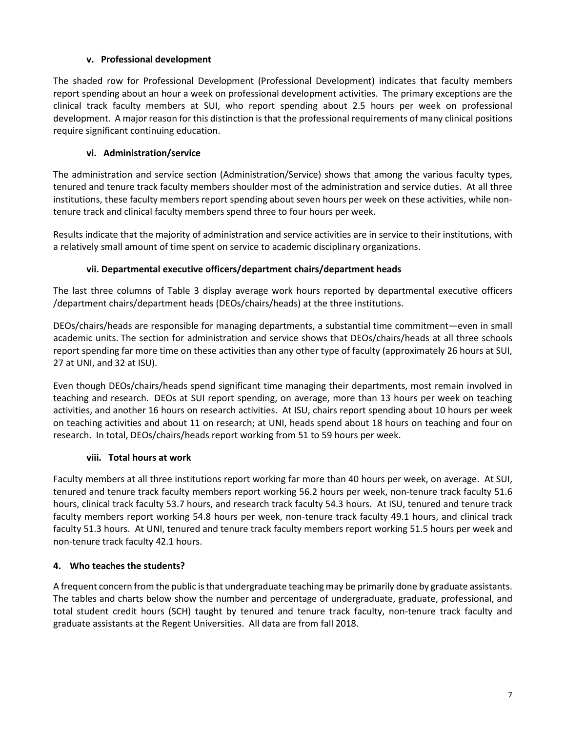# **v. Professional development**

The shaded row for Professional Development (Professional Development) indicates that faculty members report spending about an hour a week on professional development activities. The primary exceptions are the clinical track faculty members at SUI, who report spending about 2.5 hours per week on professional development. A major reason for this distinction is that the professional requirements of many clinical positions require significant continuing education.

# **vi. Administration/service**

The administration and service section (Administration/Service) shows that among the various faculty types, tenured and tenure track faculty members shoulder most of the administration and service duties. At all three institutions, these faculty members report spending about seven hours per week on these activities, while nontenure track and clinical faculty members spend three to four hours per week.

Results indicate that the majority of administration and service activities are in service to their institutions, with a relatively small amount of time spent on service to academic disciplinary organizations.

# **vii. Departmental executive officers/department chairs/department heads**

The last three columns of Table 3 display average work hours reported by departmental executive officers /department chairs/department heads (DEOs/chairs/heads) at the three institutions.

DEOs/chairs/heads are responsible for managing departments, a substantial time commitment—even in small academic units. The section for administration and service shows that DEOs/chairs/heads at all three schools report spending far more time on these activities than any other type of faculty (approximately 26 hours at SUI, 27 at UNI, and 32 at ISU).

Even though DEOs/chairs/heads spend significant time managing their departments, most remain involved in teaching and research. DEOs at SUI report spending, on average, more than 13 hours per week on teaching activities, and another 16 hours on research activities. At ISU, chairs report spending about 10 hours per week on teaching activities and about 11 on research; at UNI, heads spend about 18 hours on teaching and four on research. In total, DEOs/chairs/heads report working from 51 to 59 hours per week.

# **viii. Total hours at work**

Faculty members at all three institutions report working far more than 40 hours per week, on average. At SUI, tenured and tenure track faculty members report working 56.2 hours per week, non-tenure track faculty 51.6 hours, clinical track faculty 53.7 hours, and research track faculty 54.3 hours. At ISU, tenured and tenure track faculty members report working 54.8 hours per week, non-tenure track faculty 49.1 hours, and clinical track faculty 51.3 hours. At UNI, tenured and tenure track faculty members report working 51.5 hours per week and non-tenure track faculty 42.1 hours.

# <span id="page-7-0"></span>**4. Who teaches the students?**

A frequent concern from the public is that undergraduate teaching may be primarily done by graduate assistants. The tables and charts below show the number and percentage of undergraduate, graduate, professional, and total student credit hours (SCH) taught by tenured and tenure track faculty, non-tenure track faculty and graduate assistants at the Regent Universities. All data are from fall 2018.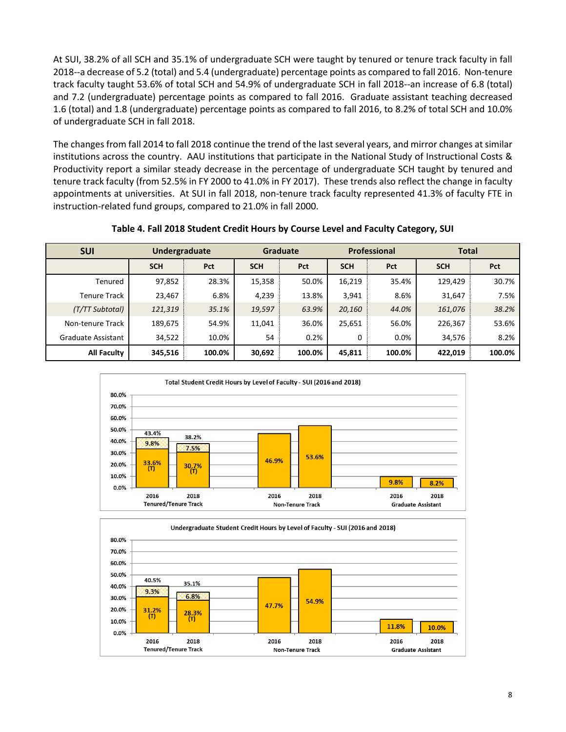At SUI, 38.2% of all SCH and 35.1% of undergraduate SCH were taught by tenured or tenure track faculty in fall 2018--a decrease of 5.2 (total) and 5.4 (undergraduate) percentage points as compared to fall 2016. Non-tenure track faculty taught 53.6% of total SCH and 54.9% of undergraduate SCH in fall 2018--an increase of 6.8 (total) and 7.2 (undergraduate) percentage points as compared to fall 2016. Graduate assistant teaching decreased 1.6 (total) and 1.8 (undergraduate) percentage points as compared to fall 2016, to 8.2% of total SCH and 10.0% of undergraduate SCH in fall 2018.

The changes from fall 2014 to fall 2018 continue the trend of the last several years, and mirror changes at similar institutions across the country. AAU institutions that participate in the National Study of Instructional Costs & Productivity report a similar steady decrease in the percentage of undergraduate SCH taught by tenured and tenure track faculty (from 52.5% in FY 2000 to 41.0% in FY 2017). These trends also reflect the change in faculty appointments at universities. At SUI in fall 2018, non-tenure track faculty represented 41.3% of faculty FTE in instruction-related fund groups, compared to 21.0% in fall 2000.

#### **Table 4. Fall 2018 Student Credit Hours by Course Level and Faculty Category, SUI**

| <b>SUI</b>         | <b>Undergraduate</b> |            |            | <b>Graduate</b> |            |            | Professional<br><b>Total</b> |        |  |
|--------------------|----------------------|------------|------------|-----------------|------------|------------|------------------------------|--------|--|
|                    | <b>SCH</b>           | <b>Pct</b> | <b>SCH</b> | Pct             | <b>SCH</b> | <b>Pct</b> | <b>SCH</b>                   | Pct    |  |
| Tenured            | 97,852               | 28.3%      | 15,358     | 50.0%           | 16,219     | 35.4%      | 129,429                      | 30.7%  |  |
| Tenure Track       | 23,467               | 6.8%       | 4,239      | 13.8%           | 3,941      | 8.6%       | 31,647                       | 7.5%   |  |
| (T/TT Subtotal)    | 121,319              | 35.1%      | 19,597     | 63.9%           | 20,160     | 44.0%      | 161,076                      | 38.2%  |  |
| Non-tenure Track   | 189,675              | 54.9%      | 11,041     | 36.0%           | 25,651     | 56.0%      | 226,367                      | 53.6%  |  |
| Graduate Assistant | 34,522               | 10.0%      | 54         | 0.2%            | 0          | $0.0\%$    | 34,576                       | 8.2%   |  |
| <b>All Faculty</b> | 345,516              | 100.0%     | 30,692     | 100.0%          | 45,811     | 100.0%     | 422,019                      | 100.0% |  |



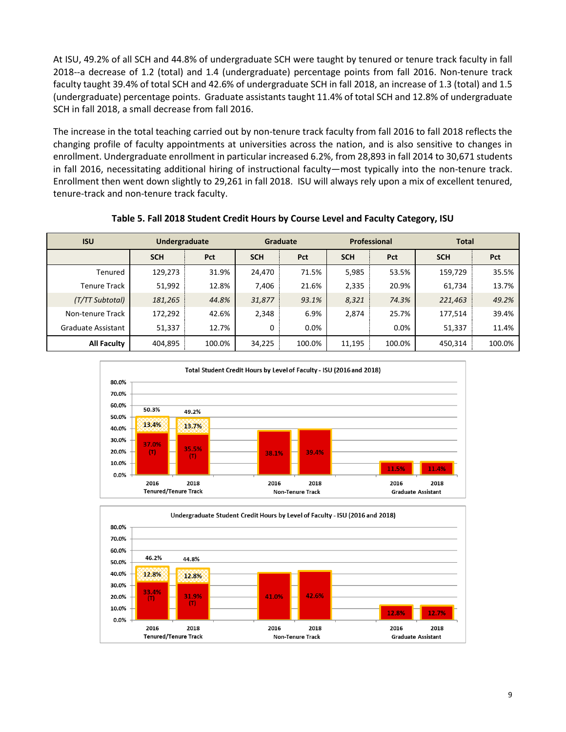At ISU, 49.2% of all SCH and 44.8% of undergraduate SCH were taught by tenured or tenure track faculty in fall 2018--a decrease of 1.2 (total) and 1.4 (undergraduate) percentage points from fall 2016. Non-tenure track faculty taught 39.4% of total SCH and 42.6% of undergraduate SCH in fall 2018, an increase of 1.3 (total) and 1.5 (undergraduate) percentage points. Graduate assistants taught 11.4% of total SCH and 12.8% of undergraduate SCH in fall 2018, a small decrease from fall 2016.

The increase in the total teaching carried out by non-tenure track faculty from fall 2016 to fall 2018 reflects the changing profile of faculty appointments at universities across the nation, and is also sensitive to changes in enrollment. Undergraduate enrollment in particular increased 6.2%, from 28,893 in fall 2014 to 30,671 students in fall 2016, necessitating additional hiring of instructional faculty—most typically into the non-tenure track. Enrollment then went down slightly to 29,261 in fall 2018. ISU will always rely upon a mix of excellent tenured, tenure-track and non-tenure track faculty.

| <b>ISU</b>          | Undergraduate |            |            | Graduate |            | Professional | <b>Total</b> |            |
|---------------------|---------------|------------|------------|----------|------------|--------------|--------------|------------|
|                     | <b>SCH</b>    | <b>Pct</b> | <b>SCH</b> | Pct      | <b>SCH</b> | Pct          | <b>SCH</b>   | <b>Pct</b> |
| Tenured             | 129,273       | 31.9%      | 24,470     | 71.5%    | 5,985      | 53.5%        | 159,729      | 35.5%      |
| <b>Tenure Track</b> | 51,992        | 12.8%      | 7,406      | 21.6%    | 2,335      | 20.9%        | 61,734       | 13.7%      |
| (T/TT Subtotal)     | 181,265       | 44.8%      | 31,877     | 93.1%    | 8,321      | 74.3%        | 221,463      | 49.2%      |
| Non-tenure Track    | 172,292       | 42.6%      | 2,348      | 6.9%     | 2,874      | 25.7%        | 177,514      | 39.4%      |
| Graduate Assistant  | 51,337        | 12.7%      | 0          | 0.0%     |            | 0.0%         | 51,337       | 11.4%      |
| <b>All Faculty</b>  | 404,895       | 100.0%     | 34,225     | 100.0%   | 11,195     | 100.0%       | 450,314      | 100.0%     |

**Table 5. Fall 2018 Student Credit Hours by Course Level and Faculty Category, ISU**



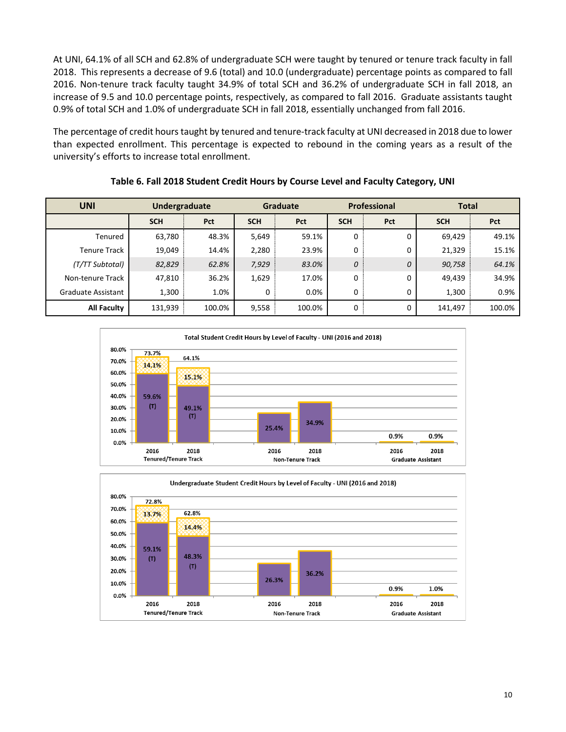At UNI, 64.1% of all SCH and 62.8% of undergraduate SCH were taught by tenured or tenure track faculty in fall 2018. This represents a decrease of 9.6 (total) and 10.0 (undergraduate) percentage points as compared to fall 2016. Non-tenure track faculty taught 34.9% of total SCH and 36.2% of undergraduate SCH in fall 2018, an increase of 9.5 and 10.0 percentage points, respectively, as compared to fall 2016. Graduate assistants taught 0.9% of total SCH and 1.0% of undergraduate SCH in fall 2018, essentially unchanged from fall 2016.

The percentage of credit hours taught by tenured and tenure-track faculty at UNI decreased in 2018 due to lower than expected enrollment. This percentage is expected to rebound in the coming years as a result of the university's efforts to increase total enrollment.

| <b>UNI</b>         | Undergraduate |            |            | <b>Graduate</b> |            | <b>Professional</b> | <b>Total</b> |        |  |
|--------------------|---------------|------------|------------|-----------------|------------|---------------------|--------------|--------|--|
|                    | <b>SCH</b>    | <b>Pct</b> | <b>SCH</b> | Pct             | <b>SCH</b> | Pct                 | <b>SCH</b>   | Pct    |  |
| Tenured            | 63,780        | 48.3%      | 5,649      | 59.1%           | 0          | 0                   | 69,429       | 49.1%  |  |
| Tenure Track       | 19,049        | 14.4%      | 2,280      | 23.9%           | 0          | 0                   | 21,329       | 15.1%  |  |
| (T/TT Subtotal)    | 82,829        | 62.8%      | 7,929      | 83.0%           | 0          | 0                   | 90,758       | 64.1%  |  |
| Non-tenure Track   | 47,810        | 36.2%      | 1,629      | 17.0%           | 0          | 0                   | 49,439       | 34.9%  |  |
| Graduate Assistant | 1,300         | 1.0%       | 0          | 0.0%            | 0          | 0                   | 1,300        | 0.9%   |  |
| <b>All Faculty</b> | 131,939       | 100.0%     | 9,558      | 100.0%          | $\Omega$   | 0                   | 141,497      | 100.0% |  |

**Table 6. Fall 2018 Student Credit Hours by Course Level and Faculty Category, UNI**



<span id="page-10-0"></span>